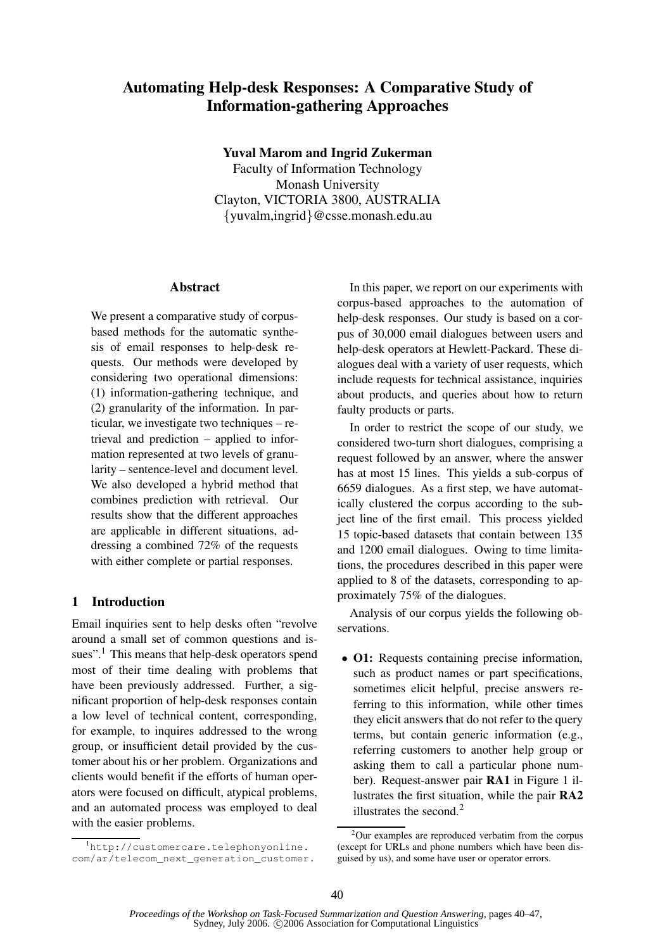# **Automating Help-desk Responses: A Comparative Study of Information-gathering Approaches**

**Yuval Marom and Ingrid Zukerman**

Faculty of Information Technology Monash University Clayton, VICTORIA 3800, AUSTRALIA {yuvalm,ingrid}@csse.monash.edu.au

## **Abstract**

We present a comparative study of corpusbased methods for the automatic synthesis of email responses to help-desk requests. Our methods were developed by considering two operational dimensions: (1) information-gathering technique, and (2) granularity of the information. In particular, we investigate two techniques – retrieval and prediction – applied to information represented at two levels of granularity – sentence-level and document level. We also developed a hybrid method that combines prediction with retrieval. Our results show that the different approaches are applicable in different situations, addressing a combined 72% of the requests with either complete or partial responses.

## **1 Introduction**

Email inquiries sent to help desks often "revolve around a small set of common questions and issues".<sup>1</sup> This means that help-desk operators spend most of their time dealing with problems that have been previously addressed. Further, a significant proportion of help-desk responses contain a low level of technical content, corresponding, for example, to inquires addressed to the wrong group, or insufficient detail provided by the customer about his or her problem. Organizations and clients would benefit if the efforts of human operators were focused on difficult, atypical problems, and an automated process was employed to deal with the easier problems.

<sup>1</sup>http://customercare.telephonyonline. com/ar/telecom\_next\_generation\_customer.

In this paper, we report on our experiments with corpus-based approaches to the automation of help-desk responses. Our study is based on a corpus of 30,000 email dialogues between users and help-desk operators at Hewlett-Packard. These dialogues deal with a variety of user requests, which include requests for technical assistance, inquiries about products, and queries about how to return faulty products or parts.

In order to restrict the scope of our study, we considered two-turn short dialogues, comprising a request followed by an answer, where the answer has at most 15 lines. This yields a sub-corpus of 6659 dialogues. As a first step, we have automatically clustered the corpus according to the subject line of the first email. This process yielded 15 topic-based datasets that contain between 135 and 1200 email dialogues. Owing to time limitations, the procedures described in this paper were applied to 8 of the datasets, corresponding to approximately 75% of the dialogues.

Analysis of our corpus yields the following observations.

• **O1:** Requests containing precise information, such as product names or part specifications, sometimes elicit helpful, precise answers referring to this information, while other times they elicit answers that do not refer to the query terms, but contain generic information (e.g., referring customers to another help group or asking them to call a particular phone number). Request-answer pair **RA1** in Figure 1 illustrates the first situation, while the pair **RA2** illustrates the second.<sup>2</sup>

<sup>2</sup>Our examples are reproduced verbatim from the corpus (except for URLs and phone numbers which have been disguised by us), and some have user or operator errors.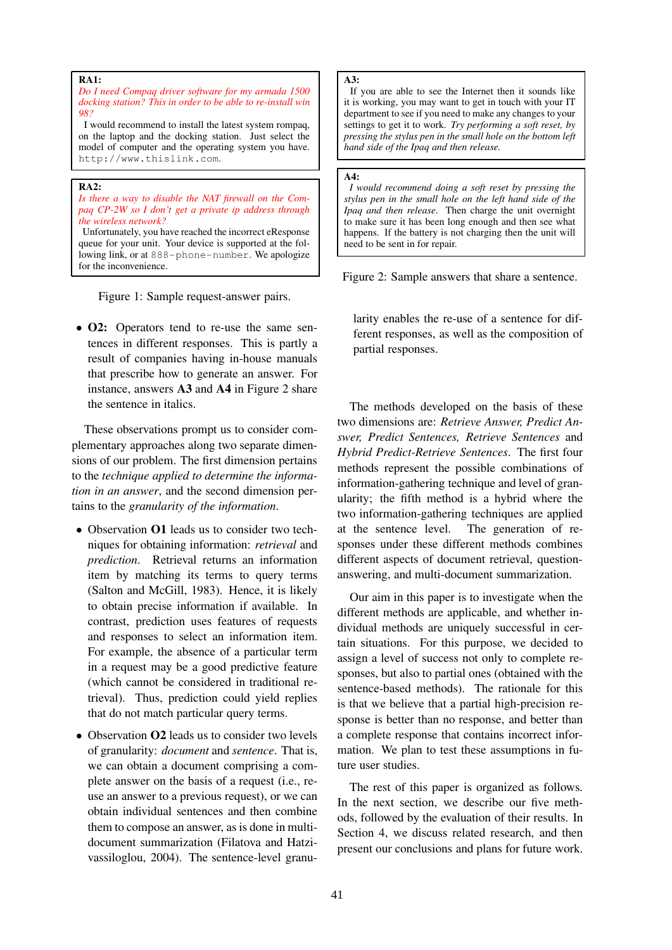#### **RA1:**

*Do I need Compaq driver software for my armada 1500 docking station? This in order to be able to re-install win 98?*

I would recommend to install the latest system rompaq, on the laptop and the docking station. Just select the model of computer and the operating system you have. http://www.thislink.com.

#### **RA2:**

*Is there a way to disable the NAT firewall on the Compaq CP-2W so I don't get a private ip address through the wireless network?*

Unfortunately, you have reached the incorrect eResponse queue for your unit. Your device is supported at the following link, or at 888-phone-number. We apologize for the inconvenience.

Figure 1: Sample request-answer pairs.

• **O2:** Operators tend to re-use the same sentences in different responses. This is partly a result of companies having in-house manuals that prescribe how to generate an answer. For instance, answers **A3** and **A4** in Figure 2 share the sentence in italics.

These observations prompt us to consider complementary approaches along two separate dimensions of our problem. The first dimension pertains to the *technique applied to determine the information in an answer*, and the second dimension pertains to the *granularity of the information*.

- Observation **O1** leads us to consider two techniques for obtaining information: *retrieval* and *prediction*. Retrieval returns an information item by matching its terms to query terms (Salton and McGill, 1983). Hence, it is likely to obtain precise information if available. In contrast, prediction uses features of requests and responses to select an information item. For example, the absence of a particular term in a request may be a good predictive feature (which cannot be considered in traditional retrieval). Thus, prediction could yield replies that do not match particular query terms.
- Observation **O2** leads us to consider two levels of granularity: *document* and *sentence*. That is, we can obtain a document comprising a complete answer on the basis of a request (i.e., reuse an answer to a previous request), or we can obtain individual sentences and then combine them to compose an answer, as is done in multidocument summarization (Filatova and Hatzivassiloglou, 2004). The sentence-level granu-

**A3:**

If you are able to see the Internet then it sounds like it is working, you may want to get in touch with your IT department to see if you need to make any changes to your settings to get it to work. *Try performing a soft reset, by pressing the stylus pen in the small hole on the bottom left hand side of the Ipaq and then release.*

#### **A4:**

*I would recommend doing a soft reset by pressing the stylus pen in the small hole on the left hand side of the Ipaq and then release*. Then charge the unit overnight to make sure it has been long enough and then see what happens. If the battery is not charging then the unit will need to be sent in for repair.

Figure 2: Sample answers that share a sentence.

larity enables the re-use of a sentence for different responses, as well as the composition of partial responses.

The methods developed on the basis of these two dimensions are: *Retrieve Answer, Predict Answer, Predict Sentences, Retrieve Sentences* and *Hybrid Predict-Retrieve Sentences*. The first four methods represent the possible combinations of information-gathering technique and level of granularity; the fifth method is a hybrid where the two information-gathering techniques are applied at the sentence level. The generation of responses under these different methods combines different aspects of document retrieval, questionanswering, and multi-document summarization.

Our aim in this paper is to investigate when the different methods are applicable, and whether individual methods are uniquely successful in certain situations. For this purpose, we decided to assign a level of success not only to complete responses, but also to partial ones (obtained with the sentence-based methods). The rationale for this is that we believe that a partial high-precision response is better than no response, and better than a complete response that contains incorrect information. We plan to test these assumptions in future user studies.

The rest of this paper is organized as follows. In the next section, we describe our five methods, followed by the evaluation of their results. In Section 4, we discuss related research, and then present our conclusions and plans for future work.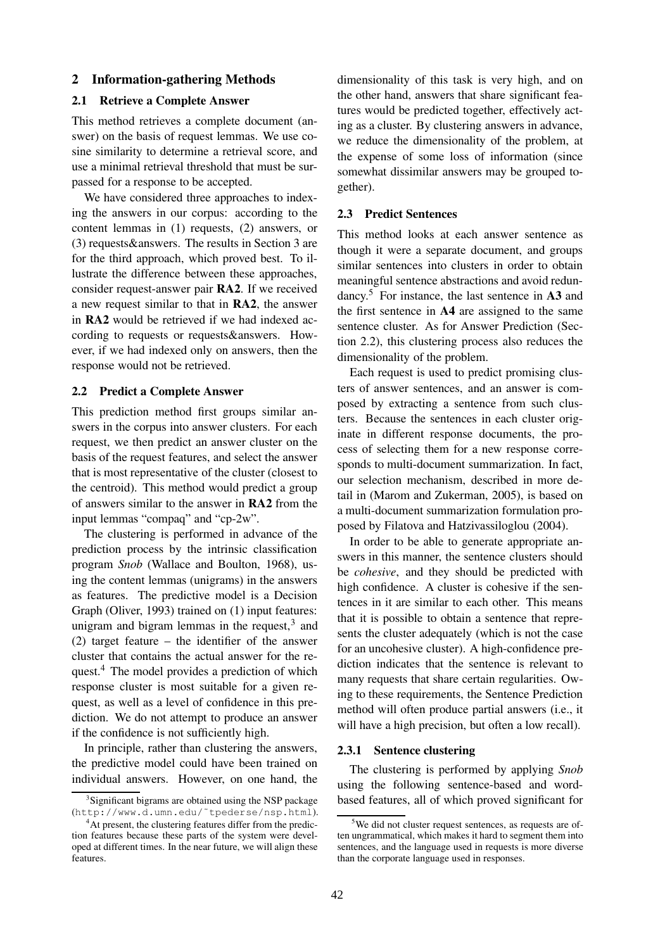## **2 Information-gathering Methods**

#### **2.1 Retrieve a Complete Answer**

This method retrieves a complete document (answer) on the basis of request lemmas. We use cosine similarity to determine a retrieval score, and use a minimal retrieval threshold that must be surpassed for a response to be accepted.

We have considered three approaches to indexing the answers in our corpus: according to the content lemmas in (1) requests, (2) answers, or (3) requests&answers. The results in Section 3 are for the third approach, which proved best. To illustrate the difference between these approaches, consider request-answer pair **RA2**. If we received a new request similar to that in **RA2**, the answer in **RA2** would be retrieved if we had indexed according to requests or requests&answers. However, if we had indexed only on answers, then the response would not be retrieved.

### **2.2 Predict a Complete Answer**

This prediction method first groups similar answers in the corpus into answer clusters. For each request, we then predict an answer cluster on the basis of the request features, and select the answer that is most representative of the cluster (closest to the centroid). This method would predict a group of answers similar to the answer in **RA2** from the input lemmas "compaq" and "cp-2w".

The clustering is performed in advance of the prediction process by the intrinsic classification program *Snob* (Wallace and Boulton, 1968), using the content lemmas (unigrams) in the answers as features. The predictive model is a Decision Graph (Oliver, 1993) trained on (1) input features: unigram and bigram lemmas in the request, $3$  and (2) target feature – the identifier of the answer cluster that contains the actual answer for the request.<sup>4</sup> The model provides a prediction of which response cluster is most suitable for a given request, as well as a level of confidence in this prediction. We do not attempt to produce an answer if the confidence is not sufficiently high.

In principle, rather than clustering the answers, the predictive model could have been trained on individual answers. However, on one hand, the

dimensionality of this task is very high, and on the other hand, answers that share significant features would be predicted together, effectively acting as a cluster. By clustering answers in advance, we reduce the dimensionality of the problem, at the expense of some loss of information (since somewhat dissimilar answers may be grouped together).

### **2.3 Predict Sentences**

This method looks at each answer sentence as though it were a separate document, and groups similar sentences into clusters in order to obtain meaningful sentence abstractions and avoid redundancy. <sup>5</sup> For instance, the last sentence in **A3** and the first sentence in **A4** are assigned to the same sentence cluster. As for Answer Prediction (Section 2.2), this clustering process also reduces the dimensionality of the problem.

Each request is used to predict promising clusters of answer sentences, and an answer is composed by extracting a sentence from such clusters. Because the sentences in each cluster originate in different response documents, the process of selecting them for a new response corresponds to multi-document summarization. In fact, our selection mechanism, described in more detail in (Marom and Zukerman, 2005), is based on a multi-document summarization formulation proposed by Filatova and Hatzivassiloglou (2004).

In order to be able to generate appropriate answers in this manner, the sentence clusters should be *cohesive*, and they should be predicted with high confidence. A cluster is cohesive if the sentences in it are similar to each other. This means that it is possible to obtain a sentence that represents the cluster adequately (which is not the case for an uncohesive cluster). A high-confidence prediction indicates that the sentence is relevant to many requests that share certain regularities. Owing to these requirements, the Sentence Prediction method will often produce partial answers (i.e., it will have a high precision, but often a low recall).

#### **2.3.1 Sentence clustering**

The clustering is performed by applying *Snob* using the following sentence-based and wordbased features, all of which proved significant for

<sup>&</sup>lt;sup>3</sup>Significant bigrams are obtained using the NSP package (http://www.d.umn.edu/˜tpederse/nsp.html).

<sup>&</sup>lt;sup>4</sup>At present, the clustering features differ from the prediction features because these parts of the system were developed at different times. In the near future, we will align these features.

<sup>&</sup>lt;sup>5</sup>We did not cluster request sentences, as requests are often ungrammatical, which makes it hard to segment them into sentences, and the language used in requests is more diverse than the corporate language used in responses.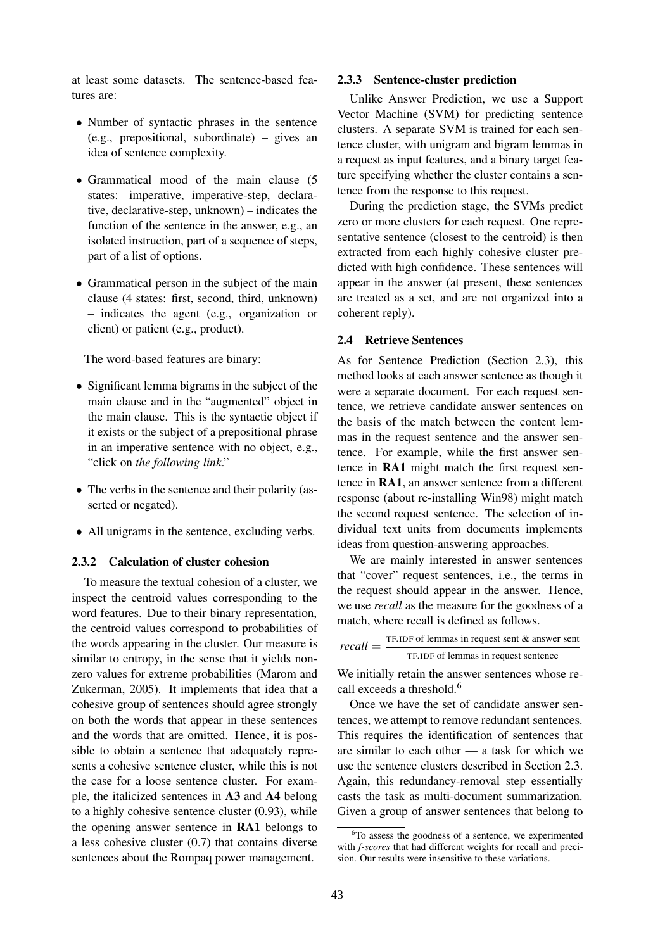at least some datasets. The sentence-based features are:

- Number of syntactic phrases in the sentence (e.g., prepositional, subordinate) – gives an idea of sentence complexity.
- Grammatical mood of the main clause (5 states: imperative, imperative-step, declarative, declarative-step, unknown) – indicates the function of the sentence in the answer, e.g., an isolated instruction, part of a sequence of steps, part of a list of options.
- Grammatical person in the subject of the main clause (4 states: first, second, third, unknown) – indicates the agent (e.g., organization or client) or patient (e.g., product).

The word-based features are binary:

- Significant lemma bigrams in the subject of the main clause and in the "augmented" object in the main clause. This is the syntactic object if it exists or the subject of a prepositional phrase in an imperative sentence with no object, e.g., "click on *the following link*."
- The verbs in the sentence and their polarity (asserted or negated).
- All unigrams in the sentence, excluding verbs.

## **2.3.2 Calculation of cluster cohesion**

To measure the textual cohesion of a cluster, we inspect the centroid values corresponding to the word features. Due to their binary representation, the centroid values correspond to probabilities of the words appearing in the cluster. Our measure is similar to entropy, in the sense that it yields nonzero values for extreme probabilities (Marom and Zukerman, 2005). It implements that idea that a cohesive group of sentences should agree strongly on both the words that appear in these sentences and the words that are omitted. Hence, it is possible to obtain a sentence that adequately represents a cohesive sentence cluster, while this is not the case for a loose sentence cluster. For example, the italicized sentences in **A3** and **A4** belong to a highly cohesive sentence cluster (0.93), while the opening answer sentence in **RA1** belongs to a less cohesive cluster (0.7) that contains diverse sentences about the Rompaq power management.

#### **2.3.3 Sentence-cluster prediction**

Unlike Answer Prediction, we use a Support Vector Machine (SVM) for predicting sentence clusters. A separate SVM is trained for each sentence cluster, with unigram and bigram lemmas in a request as input features, and a binary target feature specifying whether the cluster contains a sentence from the response to this request.

During the prediction stage, the SVMs predict zero or more clusters for each request. One representative sentence (closest to the centroid) is then extracted from each highly cohesive cluster predicted with high confidence. These sentences will appear in the answer (at present, these sentences are treated as a set, and are not organized into a coherent reply).

## **2.4 Retrieve Sentences**

As for Sentence Prediction (Section 2.3), this method looks at each answer sentence as though it were a separate document. For each request sentence, we retrieve candidate answer sentences on the basis of the match between the content lemmas in the request sentence and the answer sentence. For example, while the first answer sentence in **RA1** might match the first request sentence in **RA1**, an answer sentence from a different response (about re-installing Win98) might match the second request sentence. The selection of individual text units from documents implements ideas from question-answering approaches.

We are mainly interested in answer sentences that "cover" request sentences, i.e., the terms in the request should appear in the answer. Hence, we use *recall* as the measure for the goodness of a match, where recall is defined as follows.

*recall* = TF.IDF of lemmas in request sent & answer sent TF.IDF of lemmas in request sentence

We initially retain the answer sentences whose recall exceeds a threshold.<sup>6</sup>

Once we have the set of candidate answer sentences, we attempt to remove redundant sentences. This requires the identification of sentences that are similar to each other — a task for which we use the sentence clusters described in Section 2.3. Again, this redundancy-removal step essentially casts the task as multi-document summarization. Given a group of answer sentences that belong to

<sup>6</sup>To assess the goodness of a sentence, we experimented with *f-scores* that had different weights for recall and precision. Our results were insensitive to these variations.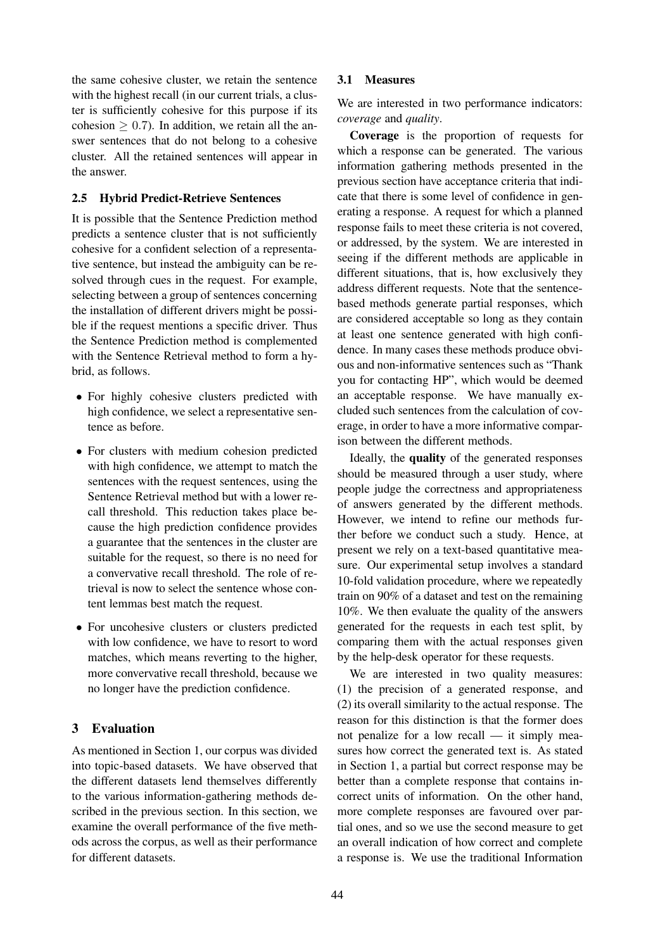the same cohesive cluster, we retain the sentence with the highest recall (in our current trials, a cluster is sufficiently cohesive for this purpose if its cohesion  $\geq$  0.7). In addition, we retain all the answer sentences that do not belong to a cohesive cluster. All the retained sentences will appear in the answer.

## **2.5 Hybrid Predict-Retrieve Sentences**

It is possible that the Sentence Prediction method predicts a sentence cluster that is not sufficiently cohesive for a confident selection of a representative sentence, but instead the ambiguity can be resolved through cues in the request. For example, selecting between a group of sentences concerning the installation of different drivers might be possible if the request mentions a specific driver. Thus the Sentence Prediction method is complemented with the Sentence Retrieval method to form a hybrid, as follows.

- For highly cohesive clusters predicted with high confidence, we select a representative sentence as before.
- For clusters with medium cohesion predicted with high confidence, we attempt to match the sentences with the request sentences, using the Sentence Retrieval method but with a lower recall threshold. This reduction takes place because the high prediction confidence provides a guarantee that the sentences in the cluster are suitable for the request, so there is no need for a convervative recall threshold. The role of retrieval is now to select the sentence whose content lemmas best match the request.
- For uncohesive clusters or clusters predicted with low confidence, we have to resort to word matches, which means reverting to the higher, more convervative recall threshold, because we no longer have the prediction confidence.

## **3 Evaluation**

As mentioned in Section 1, our corpus was divided into topic-based datasets. We have observed that the different datasets lend themselves differently to the various information-gathering methods described in the previous section. In this section, we examine the overall performance of the five methods across the corpus, as well as their performance for different datasets.

### **3.1 Measures**

We are interested in two performance indicators: *coverage* and *quality*.

**Coverage** is the proportion of requests for which a response can be generated. The various information gathering methods presented in the previous section have acceptance criteria that indicate that there is some level of confidence in generating a response. A request for which a planned response fails to meet these criteria is not covered, or addressed, by the system. We are interested in seeing if the different methods are applicable in different situations, that is, how exclusively they address different requests. Note that the sentencebased methods generate partial responses, which are considered acceptable so long as they contain at least one sentence generated with high confidence. In many cases these methods produce obvious and non-informative sentences such as "Thank you for contacting HP", which would be deemed an acceptable response. We have manually excluded such sentences from the calculation of coverage, in order to have a more informative comparison between the different methods.

Ideally, the **quality** of the generated responses should be measured through a user study, where people judge the correctness and appropriateness of answers generated by the different methods. However, we intend to refine our methods further before we conduct such a study. Hence, at present we rely on a text-based quantitative measure. Our experimental setup involves a standard 10-fold validation procedure, where we repeatedly train on 90% of a dataset and test on the remaining 10%. We then evaluate the quality of the answers generated for the requests in each test split, by comparing them with the actual responses given by the help-desk operator for these requests.

We are interested in two quality measures: (1) the precision of a generated response, and (2) its overall similarity to the actual response. The reason for this distinction is that the former does not penalize for a low recall — it simply measures how correct the generated text is. As stated in Section 1, a partial but correct response may be better than a complete response that contains incorrect units of information. On the other hand, more complete responses are favoured over partial ones, and so we use the second measure to get an overall indication of how correct and complete a response is. We use the traditional Information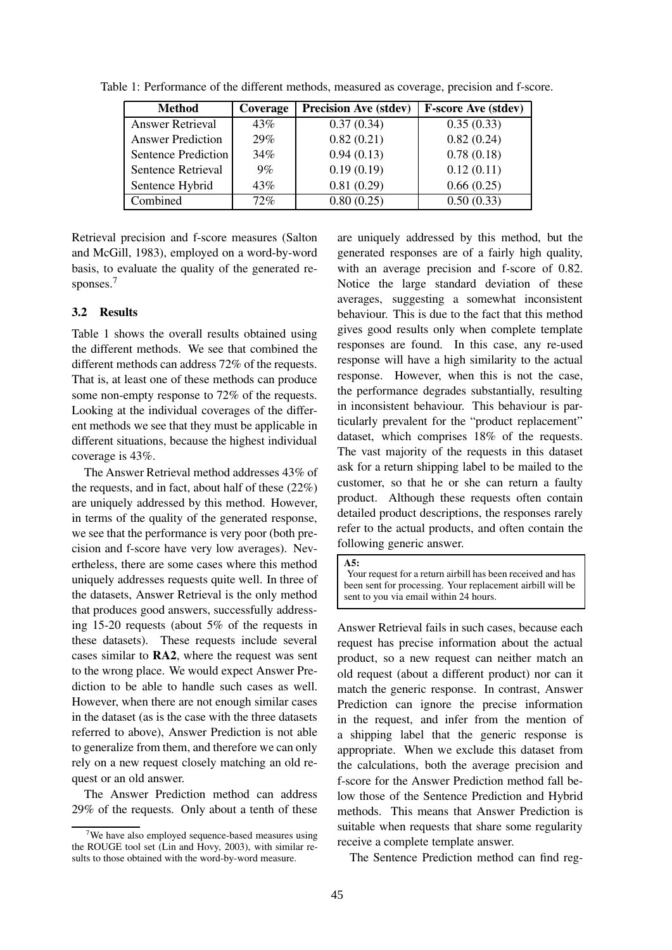| <b>Method</b>              | Coverage | <b>Precision Ave (stdev)</b> | <b>F-score Ave (stdev)</b> |
|----------------------------|----------|------------------------------|----------------------------|
| <b>Answer Retrieval</b>    | 43%      | 0.37(0.34)                   | 0.35(0.33)                 |
| <b>Answer Prediction</b>   | 29%      | 0.82(0.21)                   | 0.82(0.24)                 |
| <b>Sentence Prediction</b> | 34%      | 0.94(0.13)                   | 0.78(0.18)                 |
| Sentence Retrieval         | $9\%$    | 0.19(0.19)                   | 0.12(0.11)                 |
| Sentence Hybrid            | 43%      | 0.81(0.29)                   | 0.66(0.25)                 |
| Combined                   | 72%      | 0.80(0.25)                   | 0.50(0.33)                 |

Table 1: Performance of the different methods, measured as coverage, precision and f-score.

Retrieval precision and f-score measures (Salton and McGill, 1983), employed on a word-by-word basis, to evaluate the quality of the generated responses.<sup>7</sup>

### **3.2 Results**

Table 1 shows the overall results obtained using the different methods. We see that combined the different methods can address 72% of the requests. That is, at least one of these methods can produce some non-empty response to 72% of the requests. Looking at the individual coverages of the different methods we see that they must be applicable in different situations, because the highest individual coverage is 43%.

The Answer Retrieval method addresses 43% of the requests, and in fact, about half of these (22%) are uniquely addressed by this method. However, in terms of the quality of the generated response, we see that the performance is very poor (both precision and f-score have very low averages). Nevertheless, there are some cases where this method uniquely addresses requests quite well. In three of the datasets, Answer Retrieval is the only method that produces good answers, successfully addressing 15-20 requests (about 5% of the requests in these datasets). These requests include several cases similar to **RA2**, where the request was sent to the wrong place. We would expect Answer Prediction to be able to handle such cases as well. However, when there are not enough similar cases in the dataset (as is the case with the three datasets referred to above), Answer Prediction is not able to generalize from them, and therefore we can only rely on a new request closely matching an old request or an old answer.

The Answer Prediction method can address 29% of the requests. Only about a tenth of these are uniquely addressed by this method, but the generated responses are of a fairly high quality, with an average precision and f-score of 0.82. Notice the large standard deviation of these averages, suggesting a somewhat inconsistent behaviour. This is due to the fact that this method gives good results only when complete template responses are found. In this case, any re-used response will have a high similarity to the actual response. However, when this is not the case, the performance degrades substantially, resulting in inconsistent behaviour. This behaviour is particularly prevalent for the "product replacement" dataset, which comprises 18% of the requests. The vast majority of the requests in this dataset ask for a return shipping label to be mailed to the customer, so that he or she can return a faulty product. Although these requests often contain detailed product descriptions, the responses rarely refer to the actual products, and often contain the following generic answer.

#### **A5:**

Your request for a return airbill has been received and has been sent for processing. Your replacement airbill will be sent to you via email within 24 hours.

Answer Retrieval fails in such cases, because each request has precise information about the actual product, so a new request can neither match an old request (about a different product) nor can it match the generic response. In contrast, Answer Prediction can ignore the precise information in the request, and infer from the mention of a shipping label that the generic response is appropriate. When we exclude this dataset from the calculations, both the average precision and f-score for the Answer Prediction method fall below those of the Sentence Prediction and Hybrid methods. This means that Answer Prediction is suitable when requests that share some regularity receive a complete template answer.

The Sentence Prediction method can find reg-

We have also employed sequence-based measures using the ROUGE tool set (Lin and Hovy, 2003), with similar results to those obtained with the word-by-word measure.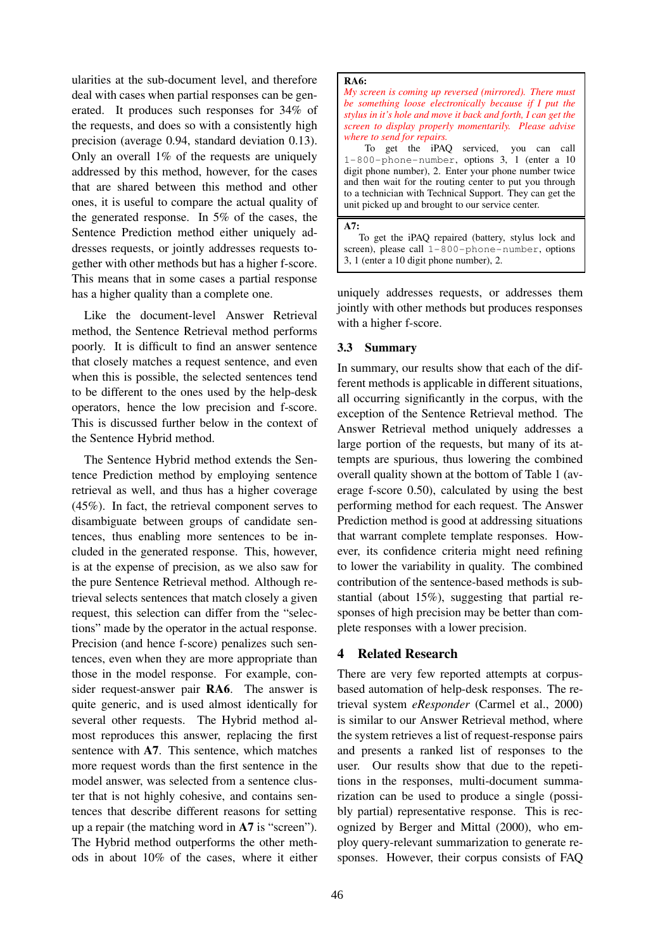ularities at the sub-document level, and therefore deal with cases when partial responses can be generated. It produces such responses for 34% of the requests, and does so with a consistently high precision (average 0.94, standard deviation 0.13). Only an overall 1% of the requests are uniquely addressed by this method, however, for the cases that are shared between this method and other ones, it is useful to compare the actual quality of the generated response. In 5% of the cases, the Sentence Prediction method either uniquely addresses requests, or jointly addresses requests together with other methods but has a higher f-score. This means that in some cases a partial response has a higher quality than a complete one.

Like the document-level Answer Retrieval method, the Sentence Retrieval method performs poorly. It is difficult to find an answer sentence that closely matches a request sentence, and even when this is possible, the selected sentences tend to be different to the ones used by the help-desk operators, hence the low precision and f-score. This is discussed further below in the context of the Sentence Hybrid method.

The Sentence Hybrid method extends the Sentence Prediction method by employing sentence retrieval as well, and thus has a higher coverage (45%). In fact, the retrieval component serves to disambiguate between groups of candidate sentences, thus enabling more sentences to be included in the generated response. This, however, is at the expense of precision, as we also saw for the pure Sentence Retrieval method. Although retrieval selects sentences that match closely a given request, this selection can differ from the "selections" made by the operator in the actual response. Precision (and hence f-score) penalizes such sentences, even when they are more appropriate than those in the model response. For example, consider request-answer pair **RA6**. The answer is quite generic, and is used almost identically for several other requests. The Hybrid method almost reproduces this answer, replacing the first sentence with **A7**. This sentence, which matches more request words than the first sentence in the model answer, was selected from a sentence cluster that is not highly cohesive, and contains sentences that describe different reasons for setting up a repair (the matching word in **A7** is "screen"). The Hybrid method outperforms the other methods in about 10% of the cases, where it either

## **RA6:** *My screen is coming up reversed (mirrored). There must*

*be something loose electronically because if I put the stylus in it's hole and move it back and forth, I can get the screen to display properly momentarily. Please advise where to send for repairs.* To get the iPAQ serviced, you can call

1-800-phone-number, options 3, 1 (enter a 10 digit phone number), 2. Enter your phone number twice and then wait for the routing center to put you through to a technician with Technical Support. They can get the unit picked up and brought to our service center.

## **A7:**

To get the iPAQ repaired (battery, stylus lock and screen), please call 1-800-phone-number, options 3, 1 (enter a 10 digit phone number), 2.

uniquely addresses requests, or addresses them jointly with other methods but produces responses with a higher f-score.

# **3.3 Summary**

In summary, our results show that each of the different methods is applicable in different situations, all occurring significantly in the corpus, with the exception of the Sentence Retrieval method. The Answer Retrieval method uniquely addresses a large portion of the requests, but many of its attempts are spurious, thus lowering the combined overall quality shown at the bottom of Table 1 (average f-score 0.50), calculated by using the best performing method for each request. The Answer Prediction method is good at addressing situations that warrant complete template responses. However, its confidence criteria might need refining to lower the variability in quality. The combined contribution of the sentence-based methods is substantial (about 15%), suggesting that partial responses of high precision may be better than complete responses with a lower precision.

# **4 Related Research**

There are very few reported attempts at corpusbased automation of help-desk responses. The retrieval system *eResponder* (Carmel et al., 2000) is similar to our Answer Retrieval method, where the system retrieves a list of request-response pairs and presents a ranked list of responses to the user. Our results show that due to the repetitions in the responses, multi-document summarization can be used to produce a single (possibly partial) representative response. This is recognized by Berger and Mittal (2000), who employ query-relevant summarization to generate responses. However, their corpus consists of FAQ